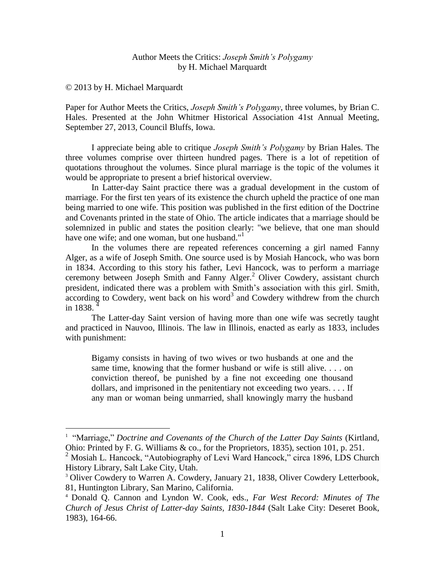### Author Meets the Critics: *Joseph Smith's Polygamy* by H. Michael Marquardt

© 2013 by H. Michael Marquardt

 $\overline{a}$ 

Paper for Author Meets the Critics, *Joseph Smith's Polygamy*, three volumes, by Brian C. Hales. Presented at the John Whitmer Historical Association 41st Annual Meeting, September 27, 2013, Council Bluffs, Iowa.

I appreciate being able to critique *Joseph Smith's Polygamy* by Brian Hales. The three volumes comprise over thirteen hundred pages. There is a lot of repetition of quotations throughout the volumes. Since plural marriage is the topic of the volumes it would be appropriate to present a brief historical overview.

In Latter-day Saint practice there was a gradual development in the custom of marriage. For the first ten years of its existence the church upheld the practice of one man being married to one wife. This position was published in the first edition of the Doctrine and Covenants printed in the state of Ohio. The article indicates that a marriage should be solemnized in public and states the position clearly: "we believe, that one man should have one wife; and one woman, but one husband."<sup>1</sup>

In the volumes there are repeated references concerning a girl named Fanny Alger, as a wife of Joseph Smith. One source used is by Mosiah Hancock, who was born in 1834. According to this story his father, Levi Hancock, was to perform a marriage ceremony between Joseph Smith and Fanny Alger.<sup>2</sup> Oliver Cowdery, assistant church president, indicated there was a problem with Smith's association with this girl. Smith,  $\alpha$  according to Cowdery, went back on his word<sup>3</sup> and Cowdery withdrew from the church in 1838.

The Latter-day Saint version of having more than one wife was secretly taught and practiced in Nauvoo, Illinois. The law in Illinois, enacted as early as 1833, includes with punishment:

Bigamy consists in having of two wives or two husbands at one and the same time, knowing that the former husband or wife is still alive. . . . on conviction thereof, be punished by a fine not exceeding one thousand dollars, and imprisoned in the penitentiary not exceeding two years. . . . If any man or woman being unmarried, shall knowingly marry the husband

<sup>&</sup>lt;sup>1</sup> "Marriage," *Doctrine and Covenants of the Church of the Latter Day Saints* (Kirtland, Ohio: Printed by F. G. Williams & co., for the Proprietors, 1835), section 101, p. 251.

<sup>&</sup>lt;sup>2</sup> Mosiah L. Hancock, "Autobiography of Levi Ward Hancock," circa 1896, LDS Church History Library, Salt Lake City, Utah.

<sup>&</sup>lt;sup>3</sup> Oliver Cowdery to Warren A. Cowdery, January 21, 1838, Oliver Cowdery Letterbook, 81, Huntington Library, San Marino, California.

<sup>4</sup> Donald Q. Cannon and Lyndon W. Cook, eds., *Far West Record: Minutes of The Church of Jesus Christ of Latter-day Saints, 1830-1844* (Salt Lake City: Deseret Book, 1983), 164-66.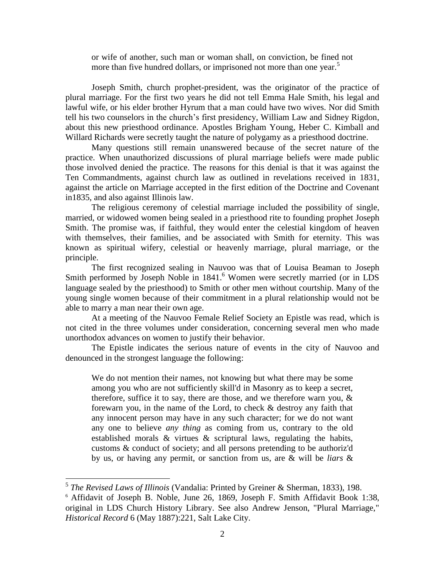or wife of another, such man or woman shall, on conviction, be fined not more than five hundred dollars, or imprisoned not more than one year.<sup>5</sup>

Joseph Smith, church prophet-president, was the originator of the practice of plural marriage. For the first two years he did not tell Emma Hale Smith, his legal and lawful wife, or his elder brother Hyrum that a man could have two wives. Nor did Smith tell his two counselors in the church's first presidency, William Law and Sidney Rigdon, about this new priesthood ordinance. Apostles Brigham Young, Heber C. Kimball and Willard Richards were secretly taught the nature of polygamy as a priesthood doctrine.

Many questions still remain unanswered because of the secret nature of the practice. When unauthorized discussions of plural marriage beliefs were made public those involved denied the practice. The reasons for this denial is that it was against the Ten Commandments, against church law as outlined in revelations received in 1831, against the article on Marriage accepted in the first edition of the Doctrine and Covenant in1835, and also against Illinois law.

The religious ceremony of celestial marriage included the possibility of single, married, or widowed women being sealed in a priesthood rite to founding prophet Joseph Smith. The promise was, if faithful, they would enter the celestial kingdom of heaven with themselves, their families, and be associated with Smith for eternity. This was known as spiritual wifery, celestial or heavenly marriage, plural marriage, or the principle.

The first recognized sealing in Nauvoo was that of Louisa Beaman to Joseph Smith performed by Joseph Noble in 1841.<sup>6</sup> Women were secretly married (or in LDS language sealed by the priesthood) to Smith or other men without courtship. Many of the young single women because of their commitment in a plural relationship would not be able to marry a man near their own age.

At a meeting of the Nauvoo Female Relief Society an Epistle was read, which is not cited in the three volumes under consideration, concerning several men who made unorthodox advances on women to justify their behavior.

The Epistle indicates the serious nature of events in the city of Nauvoo and denounced in the strongest language the following:

We do not mention their names, not knowing but what there may be some among you who are not sufficiently skill'd in Masonry as to keep a secret, therefore, suffice it to say, there are those, and we therefore warn you,  $\&$ forewarn you, in the name of the Lord, to check  $\&$  destroy any faith that any innocent person may have in any such character; for we do not want any one to believe *any thing* as coming from us, contrary to the old established morals & virtues & scriptural laws, regulating the habits, customs & conduct of society; and all persons pretending to be authoriz'd by us, or having any permit, or sanction from us, are & will be *liars* &

 $\overline{a}$ 

<sup>5</sup> *The Revised Laws of Illinois* (Vandalia: Printed by Greiner & Sherman, 1833), 198.

<sup>6</sup> Affidavit of Joseph B. Noble, June 26, 1869, Joseph F. Smith Affidavit Book 1:38, original in LDS Church History Library. See also Andrew Jenson, "Plural Marriage," *Historical Record* 6 (May 1887):221, Salt Lake City.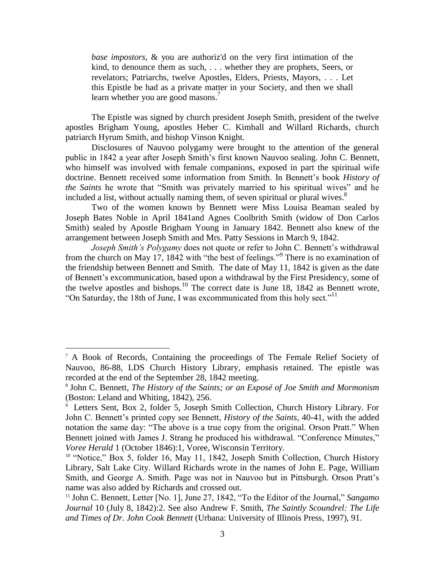*base impostors*, & you are authoriz'd on the very first intimation of the kind, to denounce them as such, . . . whether they are prophets, Seers, or revelators; Patriarchs, twelve Apostles, Elders, Priests, Mayors, . . . Let this Epistle be had as a private matter in your Society, and then we shall learn whether you are good masons.<sup>7</sup>

The Epistle was signed by church president Joseph Smith, president of the twelve apostles Brigham Young, apostles Heber C. Kimball and Willard Richards, church patriarch Hyrum Smith, and bishop Vinson Knight.

Disclosures of Nauvoo polygamy were brought to the attention of the general public in 1842 a year after Joseph Smith's first known Nauvoo sealing. John C. Bennett, who himself was involved with female companions, exposed in part the spiritual wife doctrine. Bennett received some information from Smith. In Bennett's book *History of the Saints* he wrote that "Smith was privately married to his spiritual wives" and he included a list, without actually naming them, of seven spiritual or plural wives.<sup>8</sup>

Two of the women known by Bennett were Miss Louisa Beaman sealed by Joseph Bates Noble in April 1841and Agnes Coolbrith Smith (widow of Don Carlos Smith) sealed by Apostle Brigham Young in January 1842. Bennett also knew of the arrangement between Joseph Smith and Mrs. Patty Sessions in March 9, 1842.

*Joseph Smith's Polygamy* does not quote or refer to John C. Bennett's withdrawal from the church on May 17, 1842 with "the best of feelings."<sup>9</sup> There is no examination of the friendship between Bennett and Smith. The date of May 11, 1842 is given as the date of Bennett's excommunication, based upon a withdrawal by the First Presidency, some of the twelve apostles and bishops.<sup>10</sup> The correct date is June 18, 1842 as Bennett wrote, "On Saturday, the 18th of June, I was excommunicated from this holy sect."<sup>11</sup>

 $\overline{a}$ 

<sup>7</sup> A Book of Records, Containing the proceedings of The Female Relief Society of Nauvoo, 86-88, LDS Church History Library, emphasis retained. The epistle was recorded at the end of the September 28, 1842 meeting.

<sup>8</sup> John C. Bennett, *The History of the Saints; or an Exposé of Joe Smith and Mormonism* (Boston: Leland and Whiting, 1842), 256.

<sup>9</sup> Letters Sent, Box 2, folder 5, Joseph Smith Collection, Church History Library. For John C. Bennett's printed copy see Bennett, *History of the Saints*, 40-41, with the added notation the same day: "The above is a true copy from the original. Orson Pratt." When Bennett joined with James J. Strang he produced his withdrawal. "Conference Minutes," *Voree Herald* 1 (October 1846):1, Voree, Wisconsin Territory.

<sup>&</sup>lt;sup>10</sup> "Notice," Box 5, folder 16, May 11, 1842, Joseph Smith Collection, Church History Library, Salt Lake City. Willard Richards wrote in the names of John E. Page, William Smith, and George A. Smith. Page was not in Nauvoo but in Pittsburgh. Orson Pratt's name was also added by Richards and crossed out.

<sup>11</sup> John C. Bennett, Letter [No. 1], June 27, 1842, "To the Editor of the Journal," *Sangamo Journal* 10 (July 8, 1842):2. See also Andrew F. Smith, *The Saintly Scoundrel: The Life and Times of Dr. John Cook Bennett* (Urbana: University of Illinois Press, 1997), 91.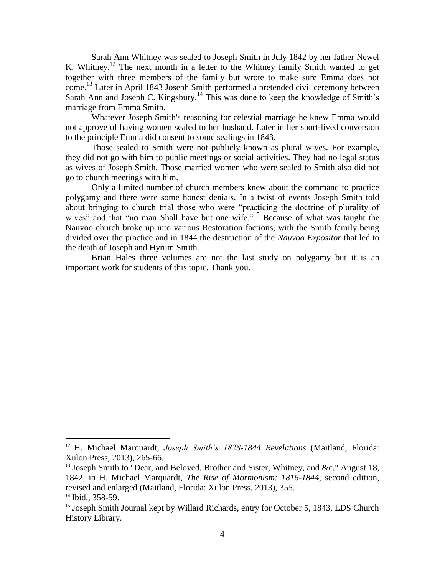Sarah Ann Whitney was sealed to Joseph Smith in July 1842 by her father Newel K. Whitney.<sup>12</sup> The next month in a letter to the Whitney family Smith wanted to get together with three members of the family but wrote to make sure Emma does not come.<sup>13</sup> Later in April 1843 Joseph Smith performed a pretended civil ceremony between Sarah Ann and Joseph C. Kingsbury.<sup>14</sup> This was done to keep the knowledge of Smith's marriage from Emma Smith.

Whatever Joseph Smith's reasoning for celestial marriage he knew Emma would not approve of having women sealed to her husband. Later in her short-lived conversion to the principle Emma did consent to some sealings in 1843.

Those sealed to Smith were not publicly known as plural wives. For example, they did not go with him to public meetings or social activities. They had no legal status as wives of Joseph Smith. Those married women who were sealed to Smith also did not go to church meetings with him.

Only a limited number of church members knew about the command to practice polygamy and there were some honest denials. In a twist of events Joseph Smith told about bringing to church trial those who were "practicing the doctrine of plurality of wives" and that "no man Shall have but one wife."<sup>15</sup> Because of what was taught the Nauvoo church broke up into various Restoration factions, with the Smith family being divided over the practice and in 1844 the destruction of the *Nauvoo Expositor* that led to the death of Joseph and Hyrum Smith.

Brian Hales three volumes are not the last study on polygamy but it is an important work for students of this topic. Thank you.

 $\overline{a}$ 

<sup>12</sup> H. Michael Marquardt, *Joseph Smith's 1828-1844 Revelations* (Maitland, Florida: Xulon Press, 2013), 265-66.

<sup>&</sup>lt;sup>13</sup> Joseph Smith to "Dear, and Beloved, Brother and Sister, Whitney, and &c," August 18, 1842, in H. Michael Marquardt, *The Rise of Mormonism: 1816-1844*, second edition, revised and enlarged (Maitland, Florida: Xulon Press, 2013), 355.

 $14$  Ibid., 358-59.

<sup>&</sup>lt;sup>15</sup> Joseph Smith Journal kept by Willard Richards, entry for October 5, 1843, LDS Church History Library.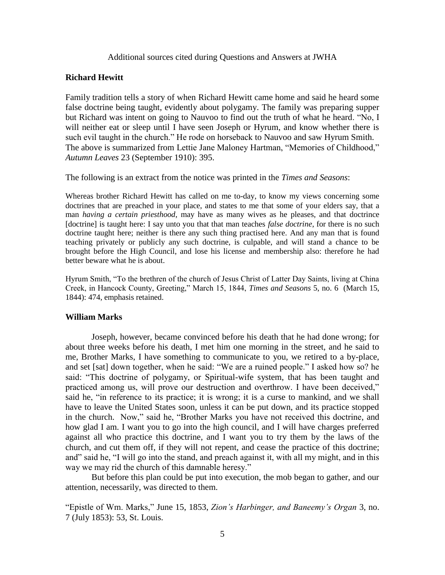Additional sources cited during Questions and Answers at JWHA

### **Richard Hewitt**

Family tradition tells a story of when Richard Hewitt came home and said he heard some false doctrine being taught, evidently about polygamy. The family was preparing supper but Richard was intent on going to Nauvoo to find out the truth of what he heard. "No, I will neither eat or sleep until I have seen Joseph or Hyrum, and know whether there is such evil taught in the church." He rode on horseback to Nauvoo and saw Hyrum Smith. The above is summarized from Lettie Jane Maloney Hartman, "Memories of Childhood," *Autumn Leaves* 23 (September 1910): 395.

The following is an extract from the notice was printed in the *Times and Seasons*:

Whereas brother Richard Hewitt has called on me to-day, to know my views concerning some doctrines that are preached in your place, and states to me that some of your elders say, that a man *having a certain priesthood*, may have as many wives as he pleases, and that doctrince [doctrine] is taught here: I say unto you that that man teaches *false doctrine*, for there is no such doctrine taught here; neither is there any such thing practised here. And any man that is found teaching privately or publicly any such doctrine, is culpable, and will stand a chance to be brought before the High Council, and lose his license and membership also: therefore he had better beware what he is about.

Hyrum Smith, "To the brethren of the church of Jesus Christ of Latter Day Saints, living at China Creek, in Hancock County, Greeting," March 15, 1844, *Times and Seasons* 5, no. 6 (March 15, 1844): 474, emphasis retained.

#### **William Marks**

Joseph, however, became convinced before his death that he had done wrong; for about three weeks before his death, I met him one morning in the street, and he said to me, Brother Marks, I have something to communicate to you, we retired to a by-place, and set [sat] down together, when he said: "We are a ruined people." I asked how so? he said: "This doctrine of polygamy, or Spiritual-wife system, that has been taught and practiced among us, will prove our destruction and overthrow. I have been deceived," said he, "in reference to its practice; it is wrong; it is a curse to mankind, and we shall have to leave the United States soon, unless it can be put down, and its practice stopped in the church. Now," said he, "Brother Marks you have not received this doctrine, and how glad I am. I want you to go into the high council, and I will have charges preferred against all who practice this doctrine, and I want you to try them by the laws of the church, and cut them off, if they will not repent, and cease the practice of this doctrine; and" said he, "I will go into the stand, and preach against it, with all my might, and in this way we may rid the church of this damnable heresy."

But before this plan could be put into execution, the mob began to gather, and our attention, necessarily, was directed to them.

"Epistle of Wm. Marks," June 15, 1853, *Zion's Harbinger, and Baneemy's Organ* 3, no. 7 (July 1853): 53, St. Louis.